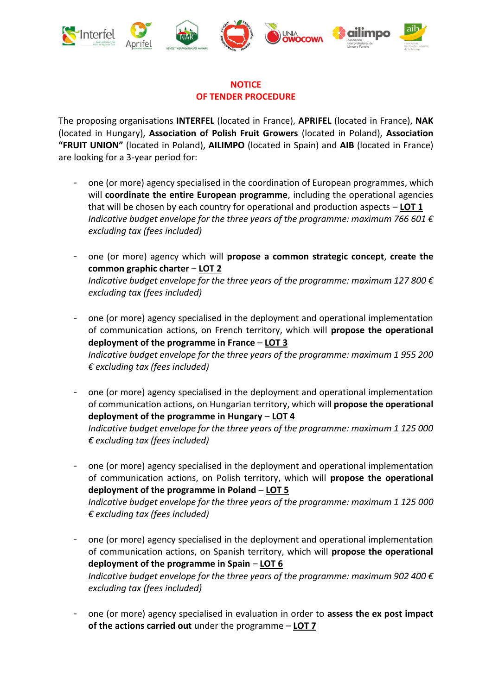

## **NOTICE OF TENDER PROCEDURE**

The proposing organisations **INTERFEL** (located in France), **APRIFEL** (located in France), **NAK** (located in Hungary), **Association of Polish Fruit Growers** (located in Poland), **Association "FRUIT UNION"** (located in Poland), **AILIMPO** (located in Spain) and **AIB** (located in France) are looking for a 3-year period for:

- one (or more) agency specialised in the coordination of European programmes, which will **coordinate the entire European programme**, including the operational agencies that will be chosen by each country for operational and production aspects – **LOT 1** *Indicative budget envelope for the three years of the programme: maximum 766 601 € excluding tax (fees included)*
- one (or more) agency which will **propose a common strategic concept**, **create the common graphic charter** – **LOT 2** *Indicative budget envelope for the three years of the programme: maximum 127 800 € excluding tax (fees included)*
- one (or more) agency specialised in the deployment and operational implementation of communication actions, on French territory, which will **propose the operational deployment of the programme in France** – **LOT 3** *Indicative budget envelope for the three years of the programme: maximum 1 955 200 € excluding tax (fees included)*
- one (or more) agency specialised in the deployment and operational implementation of communication actions, on Hungarian territory, which will **propose the operational deployment of the programme in Hungary** – **LOT 4** *Indicative budget envelope for the three years of the programme: maximum 1 125 000 € excluding tax (fees included)*
- one (or more) agency specialised in the deployment and operational implementation of communication actions, on Polish territory, which will **propose the operational deployment of the programme in Poland** – **LOT 5** *Indicative budget envelope for the three years of the programme: maximum 1 125 000 € excluding tax (fees included)*
- one (or more) agency specialised in the deployment and operational implementation of communication actions, on Spanish territory, which will **propose the operational deployment of the programme in Spain** – **LOT 6** *Indicative budget envelope for the three years of the programme: maximum 902 400 € excluding tax (fees included)*
- one (or more) agency specialised in evaluation in order to **assess the ex post impact of the actions carried out** under the programme – **LOT 7**